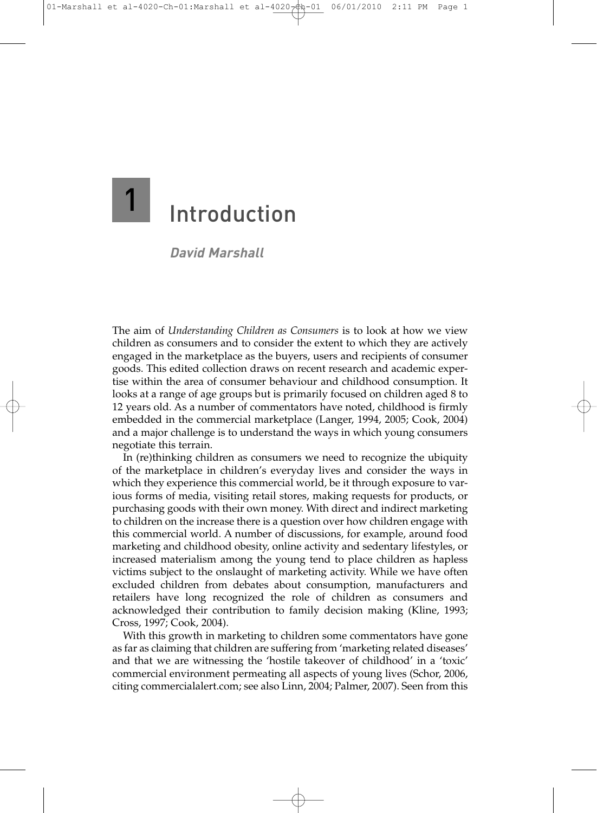01-Marshall et

# Introduction 1

## **David Marshall**

The aim of *Understanding Children as Consumers* is to look at how we view children as consumers and to consider the extent to which they are actively engaged in the marketplace as the buyers, users and recipients of consumer goods. This edited collection draws on recent research and academic expertise within the area of consumer behaviour and childhood consumption. It looks at a range of age groups but is primarily focused on children aged 8 to 12 years old. As a number of commentators have noted, childhood is firmly embedded in the commercial marketplace (Langer, 1994, 2005; Cook, 2004) and a major challenge is to understand the ways in which young consumers negotiate this terrain.

In (re)thinking children as consumers we need to recognize the ubiquity of the marketplace in children's everyday lives and consider the ways in which they experience this commercial world, be it through exposure to various forms of media, visiting retail stores, making requests for products, or purchasing goods with their own money. With direct and indirect marketing to children on the increase there is a question over how children engage with this commercial world. A number of discussions, for example, around food marketing and childhood obesity, online activity and sedentary lifestyles, or increased materialism among the young tend to place children as hapless victims subject to the onslaught of marketing activity. While we have often excluded children from debates about consumption, manufacturers and retailers have long recognized the role of children as consumers and acknowledged their contribution to family decision making (Kline, 1993; Cross, 1997; Cook, 2004).

With this growth in marketing to children some commentators have gone as far as claiming that children are suffering from 'marketing related diseases' and that we are witnessing the 'hostile takeover of childhood' in a 'toxic' commercial environment permeating all aspects of young lives (Schor, 2006, citing commercialalert.com; see also Linn, 2004; Palmer, 2007). Seen from this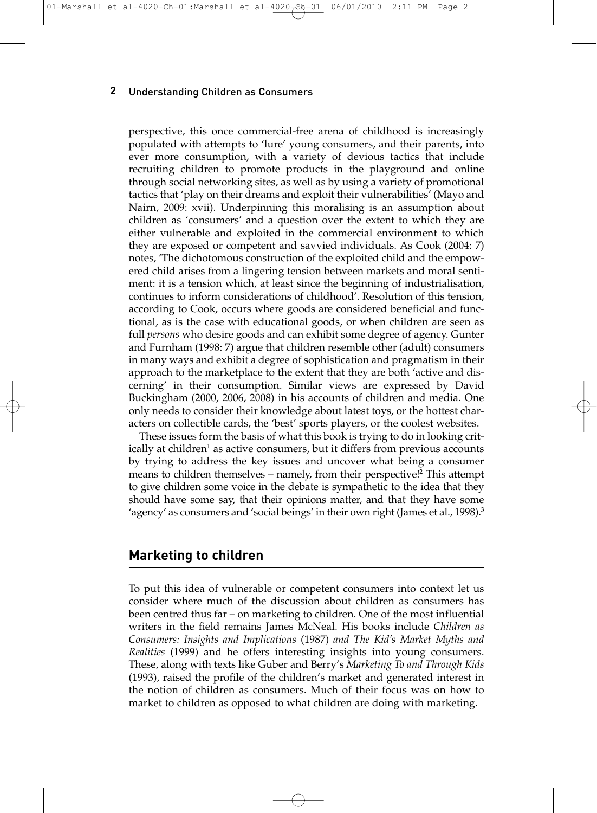perspective, this once commercial-free arena of childhood is increasingly populated with attempts to 'lure' young consumers, and their parents, into ever more consumption, with a variety of devious tactics that include recruiting children to promote products in the playground and online through social networking sites, as well as by using a variety of promotional tactics that 'play on their dreams and exploit their vulnerabilities' (Mayo and Nairn, 2009: xvii). Underpinning this moralising is an assumption about children as 'consumers' and a question over the extent to which they are either vulnerable and exploited in the commercial environment to which they are exposed or competent and savvied individuals. As Cook (2004: 7) notes, 'The dichotomous construction of the exploited child and the empowered child arises from a lingering tension between markets and moral sentiment: it is a tension which, at least since the beginning of industrialisation, continues to inform considerations of childhood'. Resolution of this tension, according to Cook, occurs where goods are considered beneficial and functional, as is the case with educational goods, or when children are seen as full *persons* who desire goods and can exhibit some degree of agency. Gunter and Furnham (1998: 7) argue that children resemble other (adult) consumers in many ways and exhibit a degree of sophistication and pragmatism in their approach to the marketplace to the extent that they are both 'active and discerning' in their consumption. Similar views are expressed by David Buckingham (2000, 2006, 2008) in his accounts of children and media. One only needs to consider their knowledge about latest toys, or the hottest characters on collectible cards, the 'best' sports players, or the coolest websites.

These issues form the basis of what this book is trying to do in looking critically at children<sup>1</sup> as active consumers, but it differs from previous accounts by trying to address the key issues and uncover what being a consumer means to children themselves – namely, from their perspective! <sup>2</sup> This attempt to give children some voice in the debate is sympathetic to the idea that they should have some say, that their opinions matter, and that they have some 'agency' as consumers and 'social beings' in their own right (James et al., 1998). 3

## **Marketing to children**

To put this idea of vulnerable or competent consumers into context let us consider where much of the discussion about children as consumers has been centred thus far – on marketing to children. One of the most influential writers in the field remains James McNeal. His books include *Children as Consumers: Insights and Implications* (1987) *and The Kid's Market Myths and Realities* (1999) and he offers interesting insights into young consumers. These, along with texts like Guber and Berry's *Marketing To and Through Kids* (1993), raised the profile of the children's market and generated interest in the notion of children as consumers. Much of their focus was on how to market to children as opposed to what children are doing with marketing.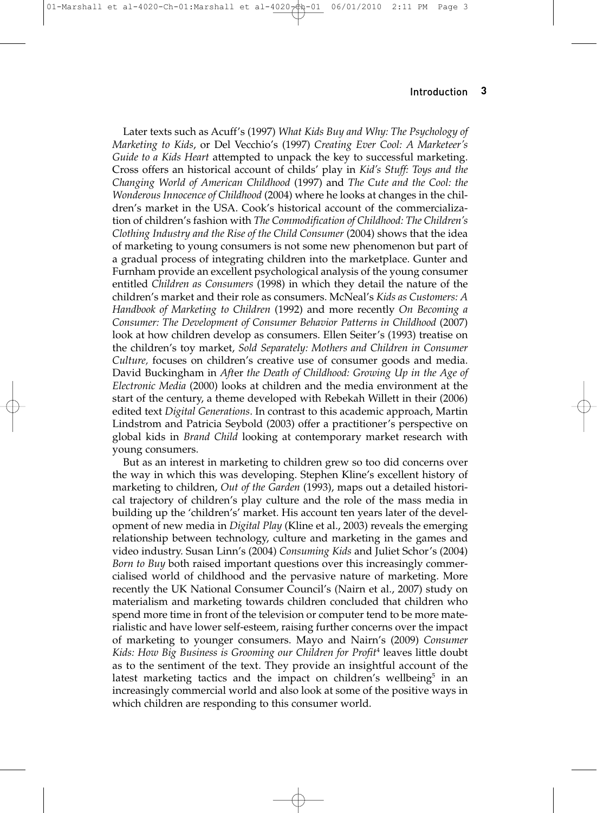Later texts such as Acuff's (1997) *What Kids Buy and Why: The Psychology of Marketing to Kids*, or Del Vecchio's (1997) *Creating Ever Cool: A Marketeer's Guide to a Kids Heart* attempted to unpack the key to successful marketing. Cross offers an historical account of childs' play in *Kid's Stuff: Toys and the Changing World of American Childhood* (1997) and *The Cute and the Cool: the Wonderous Innocence of Childhood* (2004) where he looks at changes in the children's market in the USA. Cook's historical account of the commercialization of children's fashion with *The Commodification of Childhood: The Children's Clothing Industry and the Rise of the Child Consumer* (2004) shows that the idea of marketing to young consumers is not some new phenomenon but part of a gradual process of integrating children into the marketplace. Gunter and Furnham provide an excellent psychological analysis of the young consumer entitled *Children as Consumers* (1998) in which they detail the nature of the children's market and their role as consumers. McNeal's *Kids as Customers: A Handbook of Marketing to Children* (1992) and more recently *On Becoming a Consumer: The Development of Consumer Behavior Patterns in Childhood* (2007) look at how children develop as consumers. Ellen Seiter's (1993) treatise on the children's toy market, *Sold Separately: Mothers and Children in Consumer Culture,* focuses on children's creative use of consumer goods and media. David Buckingham in *Aft*er *the Death of Childhood: Growing Up in the Age of Electronic Media* (2000) looks at children and the media environment at the start of the century, a theme developed with Rebekah Willett in their (2006) edited text *Digital Generations*. In contrast to this academic approach, Martin Lindstrom and Patricia Seybold (2003) offer a practitioner's perspective on global kids in *Brand Child* looking at contemporary market research with young consumers.

But as an interest in marketing to children grew so too did concerns over the way in which this was developing. Stephen Kline's excellent history of marketing to children, *Out of the Garden* (1993), maps out a detailed historical trajectory of children's play culture and the role of the mass media in building up the 'children's' market. His account ten years later of the development of new media in *Digital Play* (Kline et al., 2003) reveals the emerging relationship between technology, culture and marketing in the games and video industry. Susan Linn's (2004) *Consuming Kids* and Juliet Schor's (2004) *Born to Buy* both raised important questions over this increasingly commercialised world of childhood and the pervasive nature of marketing. More recently the UK National Consumer Council's (Nairn et al., 2007) study on materialism and marketing towards children concluded that children who spend more time in front of the television or computer tend to be more materialistic and have lower self-esteem, raising further concerns over the impact of marketing to younger consumers. Mayo and Nairn's (2009) *Consumer Kids: How Big Business is Grooming our Children for Profit* <sup>4</sup> leaves little doubt as to the sentiment of the text. They provide an insightful account of the latest marketing tactics and the impact on children's wellbeing<sup>5</sup> in an increasingly commercial world and also look at some of the positive ways in which children are responding to this consumer world.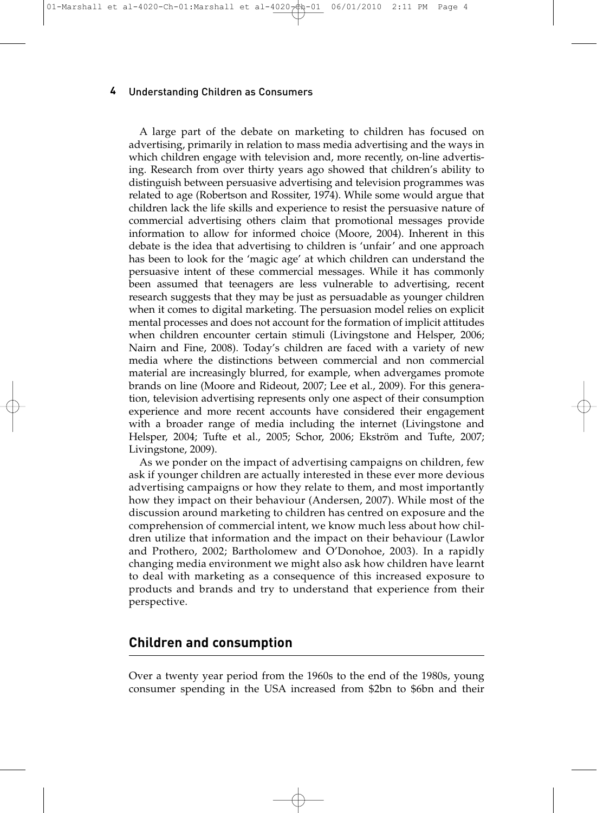01-Marshall et al

#### **4** Understanding Children as Consumers

A large part of the debate on marketing to children has focused on advertising, primarily in relation to mass media advertising and the ways in which children engage with television and, more recently, on-line advertising. Research from over thirty years ago showed that children's ability to distinguish between persuasive advertising and television programmes was related to age (Robertson and Rossiter, 1974). While some would argue that children lack the life skills and experience to resist the persuasive nature of commercial advertising others claim that promotional messages provide information to allow for informed choice (Moore, 2004). Inherent in this debate is the idea that advertising to children is 'unfair' and one approach has been to look for the 'magic age' at which children can understand the persuasive intent of these commercial messages. While it has commonly been assumed that teenagers are less vulnerable to advertising, recent research suggests that they may be just as persuadable as younger children when it comes to digital marketing. The persuasion model relies on explicit mental processes and does not account for the formation of implicit attitudes when children encounter certain stimuli (Livingstone and Helsper, 2006; Nairn and Fine, 2008). Today's children are faced with a variety of new media where the distinctions between commercial and non commercial material are increasingly blurred, for example, when advergames promote brands on line (Moore and Rideout, 2007; Lee et al., 2009). For this generation, television advertising represents only one aspect of their consumption experience and more recent accounts have considered their engagement with a broader range of media including the internet (Livingstone and Helsper, 2004; Tufte et al., 2005; Schor, 2006; Ekström and Tufte, 2007; Livingstone, 2009).

As we ponder on the impact of advertising campaigns on children, few ask if younger children are actually interested in these ever more devious advertising campaigns or how they relate to them, and most importantly how they impact on their behaviour (Andersen, 2007). While most of the discussion around marketing to children has centred on exposure and the comprehension of commercial intent, we know much less about how children utilize that information and the impact on their behaviour (Lawlor and Prothero, 2002; Bartholomew and O'Donohoe, 2003). In a rapidly changing media environment we might also ask how children have learnt to deal with marketing as a consequence of this increased exposure to products and brands and try to understand that experience from their perspective.

## **Children and consumption**

Over a twenty year period from the 1960s to the end of the 1980s, young consumer spending in the USA increased from \$2bn to \$6bn and their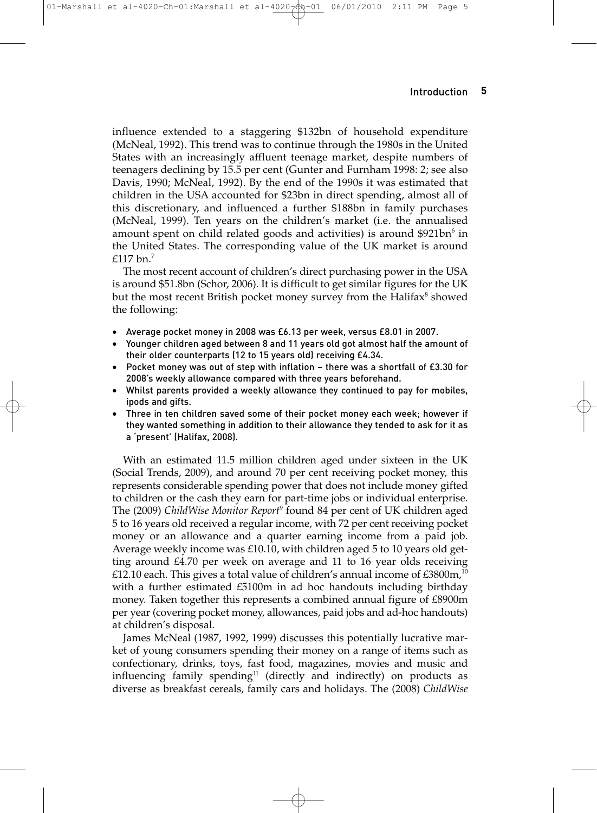influence extended to a staggering \$132bn of household expenditure (McNeal, 1992). This trend was to continue through the 1980s in the United States with an increasingly affluent teenage market, despite numbers of teenagers declining by 15.5 per cent (Gunter and Furnham 1998: 2; see also Davis, 1990; McNeal, 1992). By the end of the 1990s it was estimated that children in the USA accounted for \$23bn in direct spending, almost all of this discretionary, and influenced a further \$188bn in family purchases (McNeal, 1999). Ten years on the children's market (i.e. the annualised amount spent on child related goods and activities) is around  $$921bn<sup>6</sup>$  in the United States. The corresponding value of the UK market is around  $£117$   $bn.^7$ 

The most recent account of children's direct purchasing power in the USA is around \$51.8bn (Schor, 2006). It is difficult to get similar figures for the UK but the most recent British pocket money survey from the Halifax<sup>8</sup> showed the following:

- Average pocket money in 2008 was £6.13 per week, versus £8.01 in 2007.
- Younger children aged between 8 and 11 years old got almost half the amount of their older counterparts (12 to 15 years old) receiving £4.34.
- Pocket money was out of step with inflation there was a shortfall of £3.30 for 2008's weekly allowance compared with three years beforehand.
- Whilst parents provided a weekly allowance they continued to pay for mobiles, ipods and gifts.
- Three in ten children saved some of their pocket money each week; however if they wanted something in addition to their allowance they tended to ask for it as a 'present' (Halifax, 2008).

With an estimated 11.5 million children aged under sixteen in the UK (Social Trends, 2009), and around 70 per cent receiving pocket money, this represents considerable spending power that does not include money gifted to children or the cash they earn for part-time jobs or individual enterprise. The (2009) *ChildWise Monitor Report* <sup>9</sup> found 84 per cent of UK children aged 5 to 16 years old received a regular income, with 72 per cent receiving pocket money or an allowance and a quarter earning income from a paid job. Average weekly income was £10.10, with children aged 5 to 10 years old getting around £4.70 per week on average and 11 to 16 year olds receiving £12.10 each. This gives a total value of children's annual income of £3800m, $^{\rm 10}$ with a further estimated £5100m in ad hoc handouts including birthday money. Taken together this represents a combined annual figure of £8900m per year (covering pocket money, allowances, paid jobs and ad-hoc handouts) at children's disposal.

James McNeal (1987, 1992, 1999) discusses this potentially lucrative market of young consumers spending their money on a range of items such as confectionary, drinks, toys, fast food, magazines, movies and music and influencing family spending<sup>11</sup> (directly and indirectly) on products as diverse as breakfast cereals, family cars and holidays. The (2008) *ChildWise*

01-Marshall et al-4020-Ch-01:Marshall et al-4020 $\frac{1}{4}$ -01 06/01/2010 2:11 PM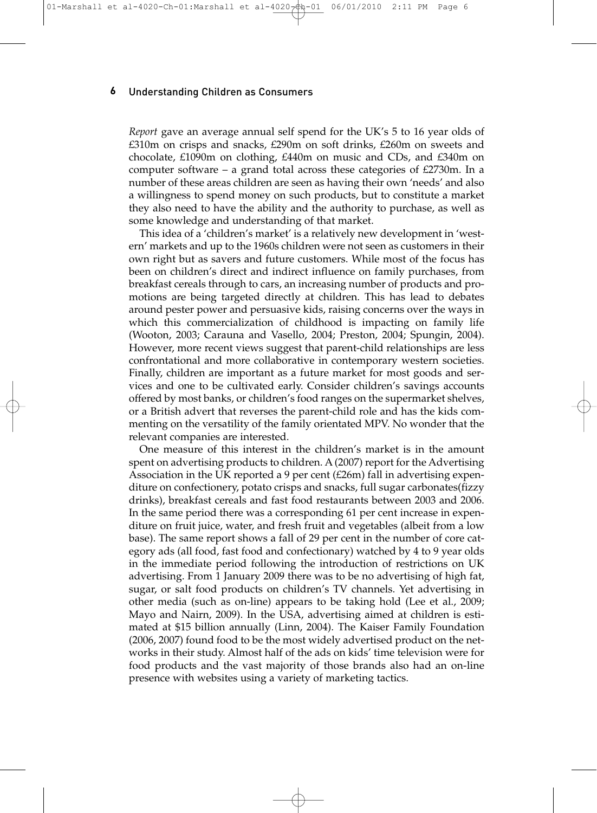*Report* gave an average annual self spend for the UK's 5 to 16 year olds of £310m on crisps and snacks, £290m on soft drinks, £260m on sweets and chocolate, £1090m on clothing, £440m on music and CDs, and £340m on computer software – a grand total across these categories of  $£2730m$ . In a number of these areas children are seen as having their own 'needs' and also a willingness to spend money on such products, but to constitute a market they also need to have the ability and the authority to purchase, as well as some knowledge and understanding of that market.

This idea of a 'children's market' is a relatively new development in 'western' markets and up to the 1960s children were not seen as customers in their own right but as savers and future customers. While most of the focus has been on children's direct and indirect influence on family purchases, from breakfast cereals through to cars, an increasing number of products and promotions are being targeted directly at children. This has lead to debates around pester power and persuasive kids, raising concerns over the ways in which this commercialization of childhood is impacting on family life (Wooton, 2003; Carauna and Vasello, 2004; Preston, 2004; Spungin, 2004). However, more recent views suggest that parent-child relationships are less confrontational and more collaborative in contemporary western societies. Finally, children are important as a future market for most goods and services and one to be cultivated early. Consider children's savings accounts offered by most banks, or children's food ranges on the supermarket shelves, or a British advert that reverses the parent-child role and has the kids commenting on the versatility of the family orientated MPV. No wonder that the relevant companies are interested.

One measure of this interest in the children's market is in the amount spent on advertising products to children. A (2007) report for the Advertising Association in the UK reported a 9 per cent (£26m) fall in advertising expenditure on confectionery, potato crisps and snacks, full sugar carbonates(fizzy drinks), breakfast cereals and fast food restaurants between 2003 and 2006. In the same period there was a corresponding 61 per cent increase in expenditure on fruit juice, water, and fresh fruit and vegetables (albeit from a low base). The same report shows a fall of 29 per cent in the number of core category ads (all food, fast food and confectionary) watched by 4 to 9 year olds in the immediate period following the introduction of restrictions on UK advertising. From 1 January 2009 there was to be no advertising of high fat, sugar, or salt food products on children's TV channels. Yet advertising in other media (such as on-line) appears to be taking hold (Lee et al., 2009; Mayo and Nairn, 2009). In the USA, advertising aimed at children is estimated at \$15 billion annually (Linn, 2004). The Kaiser Family Foundation (2006, 2007) found food to be the most widely advertised product on the networks in their study. Almost half of the ads on kids' time television were for food products and the vast majority of those brands also had an on-line presence with websites using a variety of marketing tactics.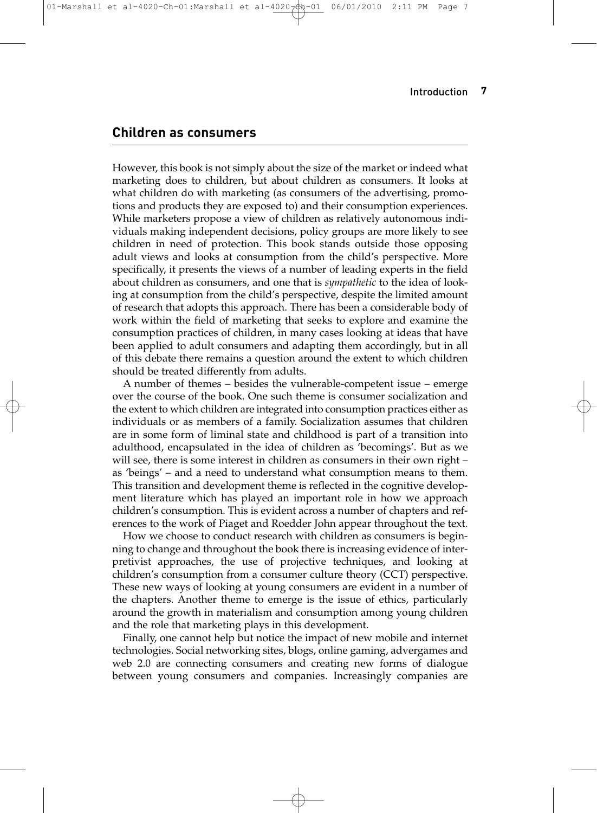## **Children as consumers**

However, this book is not simply about the size of the market or indeed what marketing does to children, but about children as consumers. It looks at what children do with marketing (as consumers of the advertising, promotions and products they are exposed to) and their consumption experiences. While marketers propose a view of children as relatively autonomous individuals making independent decisions, policy groups are more likely to see children in need of protection. This book stands outside those opposing adult views and looks at consumption from the child's perspective. More specifically, it presents the views of a number of leading experts in the field about children as consumers, and one that is *sympathetic* to the idea of looking at consumption from the child's perspective, despite the limited amount of research that adopts this approach. There has been a considerable body of work within the field of marketing that seeks to explore and examine the consumption practices of children, in many cases looking at ideas that have been applied to adult consumers and adapting them accordingly, but in all of this debate there remains a question around the extent to which children should be treated differently from adults.

A number of themes – besides the vulnerable-competent issue – emerge over the course of the book. One such theme is consumer socialization and the extent to which children are integrated into consumption practices either as individuals or as members of a family. Socialization assumes that children are in some form of liminal state and childhood is part of a transition into adulthood, encapsulated in the idea of children as 'becomings'. But as we will see, there is some interest in children as consumers in their own right – as 'beings' – and a need to understand what consumption means to them. This transition and development theme is reflected in the cognitive development literature which has played an important role in how we approach children's consumption. This is evident across a number of chapters and references to the work of Piaget and Roedder John appear throughout the text.

How we choose to conduct research with children as consumers is beginning to change and throughout the book there is increasing evidence of interpretivist approaches, the use of projective techniques, and looking at children's consumption from a consumer culture theory (CCT) perspective. These new ways of looking at young consumers are evident in a number of the chapters. Another theme to emerge is the issue of ethics, particularly around the growth in materialism and consumption among young children and the role that marketing plays in this development.

Finally, one cannot help but notice the impact of new mobile and internet technologies. Social networking sites, blogs, online gaming, advergames and web 2.0 are connecting consumers and creating new forms of dialogue between young consumers and companies. Increasingly companies are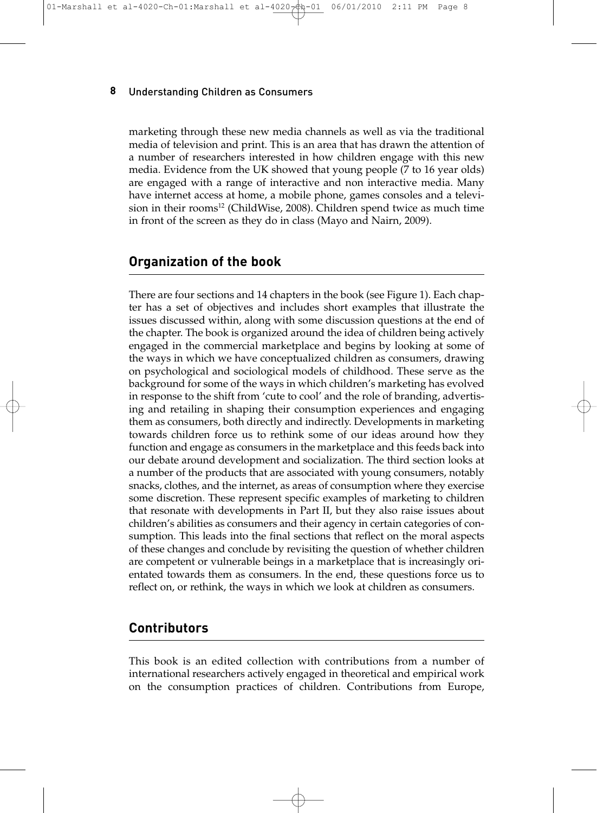marketing through these new media channels as well as via the traditional media of television and print. This is an area that has drawn the attention of a number of researchers interested in how children engage with this new media. Evidence from the UK showed that young people (7 to 16 year olds) are engaged with a range of interactive and non interactive media. Many have internet access at home, a mobile phone, games consoles and a television in their rooms<sup>12</sup> (ChildWise, 2008). Children spend twice as much time in front of the screen as they do in class (Mayo and Nairn, 2009).

## **Organization of the book**

There are four sections and 14 chapters in the book (see Figure 1). Each chapter has a set of objectives and includes short examples that illustrate the issues discussed within, along with some discussion questions at the end of the chapter. The book is organized around the idea of children being actively engaged in the commercial marketplace and begins by looking at some of the ways in which we have conceptualized children as consumers, drawing on psychological and sociological models of childhood. These serve as the background for some of the ways in which children's marketing has evolved in response to the shift from 'cute to cool' and the role of branding, advertising and retailing in shaping their consumption experiences and engaging them as consumers, both directly and indirectly. Developments in marketing towards children force us to rethink some of our ideas around how they function and engage as consumers in the marketplace and this feeds back into our debate around development and socialization. The third section looks at a number of the products that are associated with young consumers, notably snacks, clothes, and the internet, as areas of consumption where they exercise some discretion. These represent specific examples of marketing to children that resonate with developments in Part II, but they also raise issues about children's abilities as consumers and their agency in certain categories of consumption. This leads into the final sections that reflect on the moral aspects of these changes and conclude by revisiting the question of whether children are competent or vulnerable beings in a marketplace that is increasingly orientated towards them as consumers. In the end, these questions force us to reflect on, or rethink, the ways in which we look at children as consumers.

## **Contributors**

This book is an edited collection with contributions from a number of international researchers actively engaged in theoretical and empirical work on the consumption practices of children. Contributions from Europe,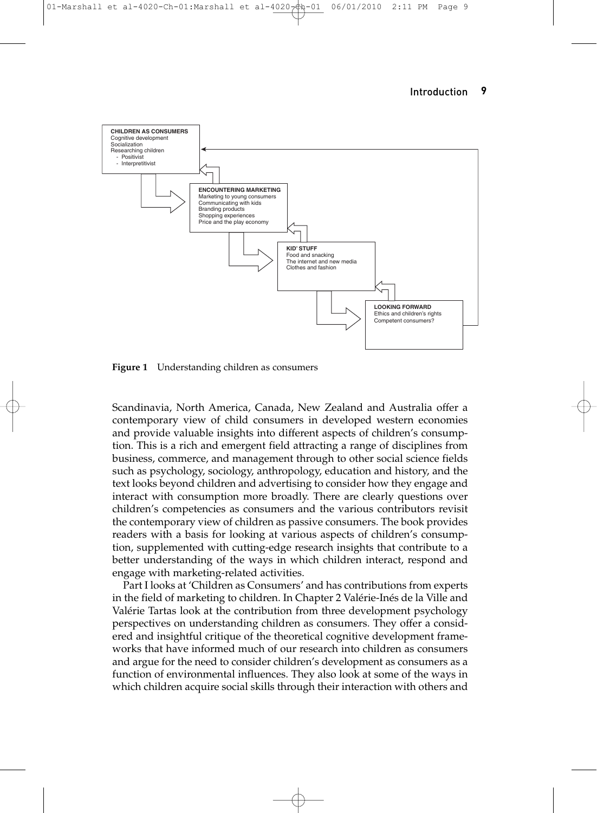## 01-Marshall et al-4020-Ch-01:Marshall et al-4020 $\overbrace{O}^{ch-01}$  06/01/2010 2:11 PM Page 9

#### Introduction **9**



**Figure 1** Understanding children as consumers

Scandinavia, North America, Canada, New Zealand and Australia offer a contemporary view of child consumers in developed western economies and provide valuable insights into different aspects of children's consumption. This is a rich and emergent field attracting a range of disciplines from business, commerce, and management through to other social science fields such as psychology, sociology, anthropology, education and history, and the text looks beyond children and advertising to consider how they engage and interact with consumption more broadly. There are clearly questions over children's competencies as consumers and the various contributors revisit the contemporary view of children as passive consumers. The book provides readers with a basis for looking at various aspects of children's consumption, supplemented with cutting-edge research insights that contribute to a better understanding of the ways in which children interact, respond and engage with marketing-related activities.

Part I looks at 'Children as Consumers' and has contributions from experts in the field of marketing to children. In Chapter 2 Valérie-Inés de la Ville and Valérie Tartas look at the contribution from three development psychology perspectives on understanding children as consumers. They offer a considered and insightful critique of the theoretical cognitive development frameworks that have informed much of our research into children as consumers and argue for the need to consider children's development as consumers as a function of environmental influences. They also look at some of the ways in which children acquire social skills through their interaction with others and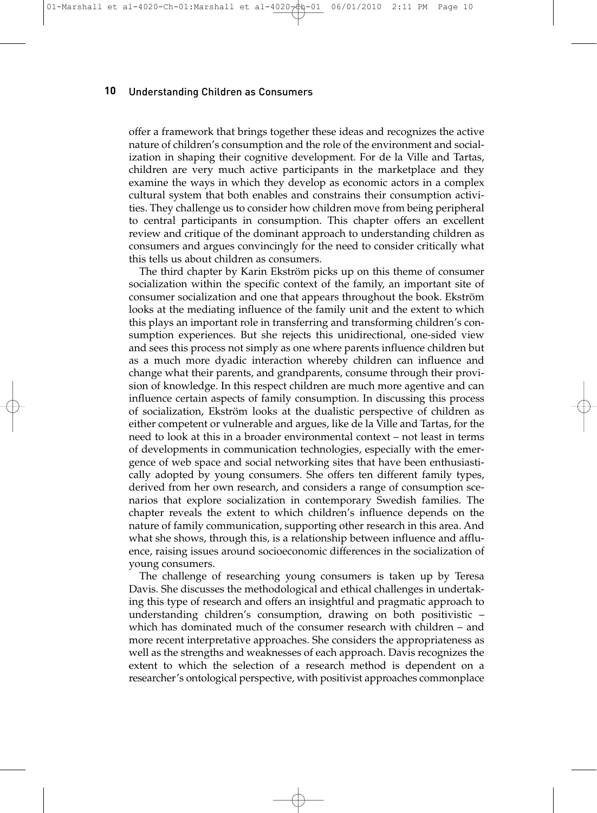offer a framework that brings together these ideas and recognizes the active nature of children's consumption and the role of the environment and socialization in shaping their cognitive development. For de la Ville and Tartas, children are very much active participants in the marketplace and they examine the ways in which they develop as economic actors in a complex cultural system that both enables and constrains their consumption activities. They challenge us to consider how children move from being peripheral to central participants in consumption. This chapter offers an excellent review and critique of the dominant approach to understanding children as consumers and argues convincingly for the need to consider critically what this tells us about children as consumers.

The third chapter by Karin Ekström picks up on this theme of consumer socialization within the specific context of the family, an important site of consumer socialization and one that appears throughout the book. Ekström looks at the mediating influence of the family unit and the extent to which this plays an important role in transferring and transforming children's consumption experiences. But she rejects this unidirectional, one-sided view and sees this process not simply as one where parents influence children but as a much more dyadic interaction whereby children can influence and change what their parents, and grandparents, consume through their provision of knowledge. In this respect children are much more agentive and can influence certain aspects of family consumption. In discussing this process of socialization, Ekström looks at the dualistic perspective of children as either competent or vulnerable and argues, like de la Ville and Tartas, for the need to look at this in a broader environmental context – not least in terms of developments in communication technologies, especially with the emergence of web space and social networking sites that have been enthusiastically adopted by young consumers. She offers ten different family types, derived from her own research, and considers a range of consumption scenarios that explore socialization in contemporary Swedish families. The chapter reveals the extent to which children's influence depends on the nature of family communication, supporting other research in this area. And what she shows, through this, is a relationship between influence and affluence, raising issues around socioeconomic differences in the socialization of young consumers.

The challenge of researching young consumers is taken up by Teresa Davis. She discusses the methodological and ethical challenges in undertaking this type of research and offers an insightful and pragmatic approach to understanding children's consumption, drawing on both positivistic – which has dominated much of the consumer research with children – and more recent interpretative approaches. She considers the appropriateness as well as the strengths and weaknesses of each approach. Davis recognizes the extent to which the selection of a research method is dependent on a researcher's ontological perspective, with positivist approaches commonplace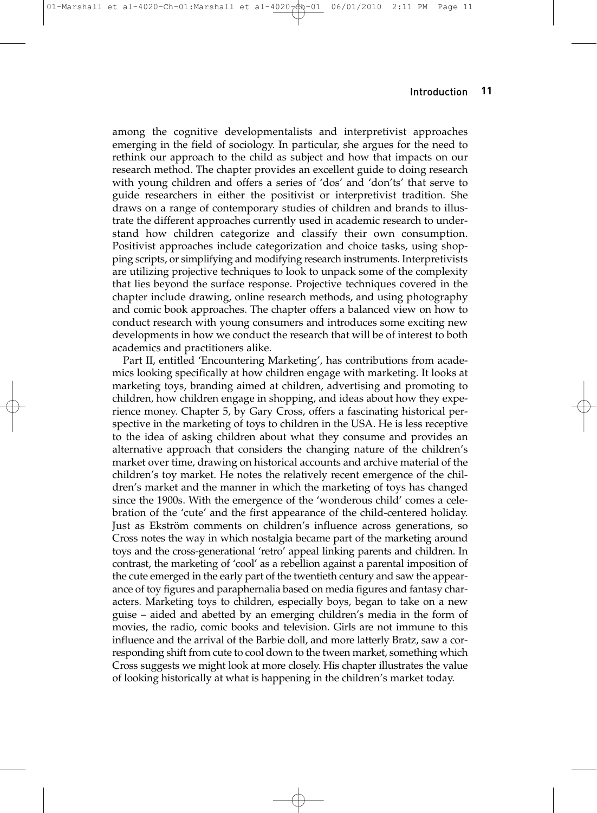among the cognitive developmentalists and interpretivist approaches emerging in the field of sociology. In particular, she argues for the need to rethink our approach to the child as subject and how that impacts on our research method. The chapter provides an excellent guide to doing research with young children and offers a series of 'dos' and 'don'ts' that serve to guide researchers in either the positivist or interpretivist tradition. She draws on a range of contemporary studies of children and brands to illustrate the different approaches currently used in academic research to understand how children categorize and classify their own consumption. Positivist approaches include categorization and choice tasks, using shopping scripts, or simplifying and modifying research instruments. Interpretivists are utilizing projective techniques to look to unpack some of the complexity that lies beyond the surface response. Projective techniques covered in the chapter include drawing, online research methods, and using photography and comic book approaches. The chapter offers a balanced view on how to conduct research with young consumers and introduces some exciting new developments in how we conduct the research that will be of interest to both academics and practitioners alike.

Part II, entitled 'Encountering Marketing', has contributions from academics looking specifically at how children engage with marketing. It looks at marketing toys, branding aimed at children, advertising and promoting to children, how children engage in shopping, and ideas about how they experience money. Chapter 5, by Gary Cross, offers a fascinating historical perspective in the marketing of toys to children in the USA. He is less receptive to the idea of asking children about what they consume and provides an alternative approach that considers the changing nature of the children's market over time, drawing on historical accounts and archive material of the children's toy market. He notes the relatively recent emergence of the children's market and the manner in which the marketing of toys has changed since the 1900s. With the emergence of the 'wonderous child' comes a celebration of the 'cute' and the first appearance of the child-centered holiday. Just as Ekström comments on children's influence across generations, so Cross notes the way in which nostalgia became part of the marketing around toys and the cross-generational 'retro' appeal linking parents and children. In contrast, the marketing of 'cool' as a rebellion against a parental imposition of the cute emerged in the early part of the twentieth century and saw the appearance of toy figures and paraphernalia based on media figures and fantasy characters. Marketing toys to children, especially boys, began to take on a new guise – aided and abetted by an emerging children's media in the form of movies, the radio, comic books and television. Girls are not immune to this influence and the arrival of the Barbie doll, and more latterly Bratz, saw a corresponding shift from cute to cool down to the tween market, something which Cross suggests we might look at more closely. His chapter illustrates the value of looking historically at what is happening in the children's market today.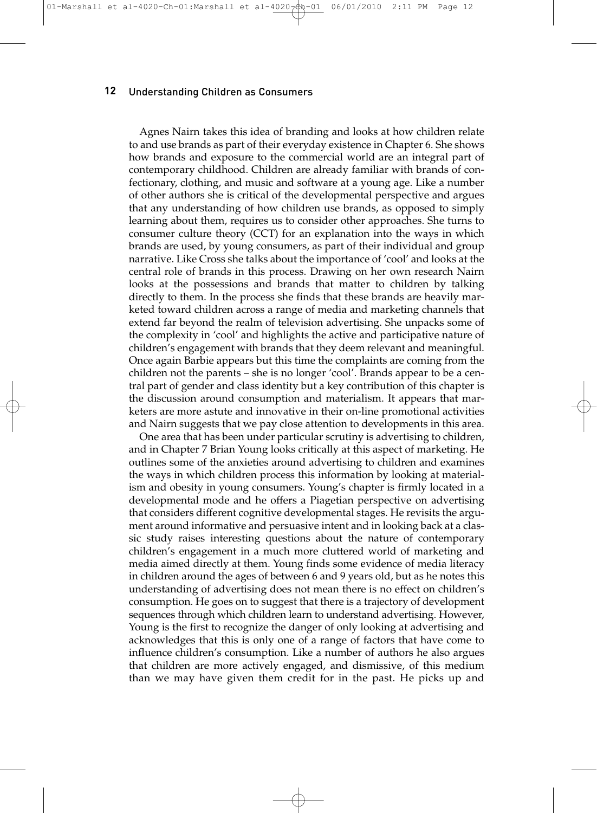Agnes Nairn takes this idea of branding and looks at how children relate to and use brands as part of their everyday existence in Chapter 6. She shows how brands and exposure to the commercial world are an integral part of contemporary childhood. Children are already familiar with brands of confectionary, clothing, and music and software at a young age. Like a number of other authors she is critical of the developmental perspective and argues that any understanding of how children use brands, as opposed to simply learning about them, requires us to consider other approaches. She turns to consumer culture theory (CCT) for an explanation into the ways in which brands are used, by young consumers, as part of their individual and group narrative. Like Cross she talks about the importance of 'cool' and looks at the central role of brands in this process. Drawing on her own research Nairn looks at the possessions and brands that matter to children by talking directly to them. In the process she finds that these brands are heavily marketed toward children across a range of media and marketing channels that extend far beyond the realm of television advertising. She unpacks some of the complexity in 'cool' and highlights the active and participative nature of children's engagement with brands that they deem relevant and meaningful. Once again Barbie appears but this time the complaints are coming from the children not the parents – she is no longer 'cool'. Brands appear to be a central part of gender and class identity but a key contribution of this chapter is the discussion around consumption and materialism. It appears that marketers are more astute and innovative in their on-line promotional activities and Nairn suggests that we pay close attention to developments in this area.

One area that has been under particular scrutiny is advertising to children, and in Chapter 7 Brian Young looks critically at this aspect of marketing. He outlines some of the anxieties around advertising to children and examines the ways in which children process this information by looking at materialism and obesity in young consumers. Young's chapter is firmly located in a developmental mode and he offers a Piagetian perspective on advertising that considers different cognitive developmental stages. He revisits the argument around informative and persuasive intent and in looking back at a classic study raises interesting questions about the nature of contemporary children's engagement in a much more cluttered world of marketing and media aimed directly at them. Young finds some evidence of media literacy in children around the ages of between 6 and 9 years old, but as he notes this understanding of advertising does not mean there is no effect on children's consumption. He goes on to suggest that there is a trajectory of development sequences through which children learn to understand advertising. However, Young is the first to recognize the danger of only looking at advertising and acknowledges that this is only one of a range of factors that have come to influence children's consumption. Like a number of authors he also argues that children are more actively engaged, and dismissive, of this medium than we may have given them credit for in the past. He picks up and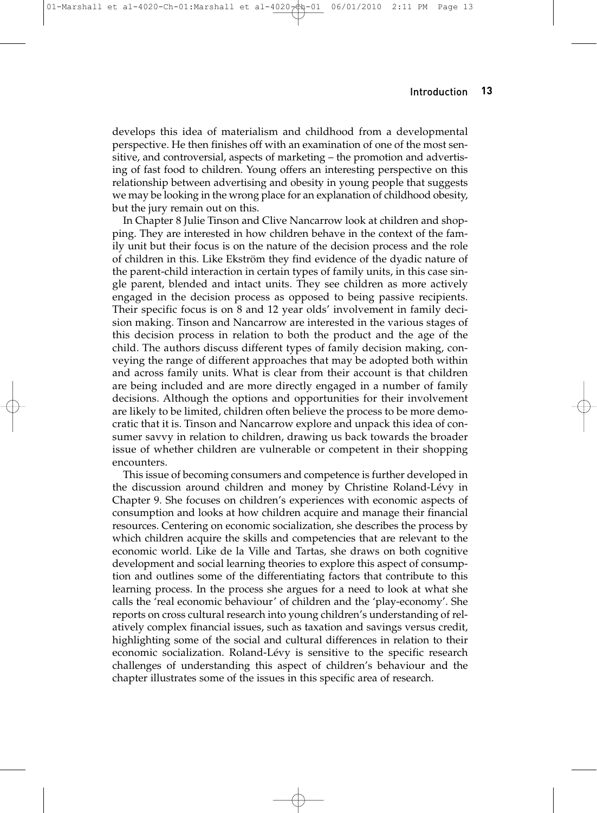develops this idea of materialism and childhood from a developmental perspective. He then finishes off with an examination of one of the most sensitive, and controversial, aspects of marketing – the promotion and advertising of fast food to children. Young offers an interesting perspective on this relationship between advertising and obesity in young people that suggests we may be looking in the wrong place for an explanation of childhood obesity, but the jury remain out on this.

In Chapter 8 Julie Tinson and Clive Nancarrow look at children and shopping. They are interested in how children behave in the context of the family unit but their focus is on the nature of the decision process and the role of children in this. Like Ekström they find evidence of the dyadic nature of the parent-child interaction in certain types of family units, in this case single parent, blended and intact units. They see children as more actively engaged in the decision process as opposed to being passive recipients. Their specific focus is on 8 and 12 year olds' involvement in family decision making. Tinson and Nancarrow are interested in the various stages of this decision process in relation to both the product and the age of the child. The authors discuss different types of family decision making, conveying the range of different approaches that may be adopted both within and across family units. What is clear from their account is that children are being included and are more directly engaged in a number of family decisions. Although the options and opportunities for their involvement are likely to be limited, children often believe the process to be more democratic that it is. Tinson and Nancarrow explore and unpack this idea of consumer savvy in relation to children, drawing us back towards the broader issue of whether children are vulnerable or competent in their shopping encounters.

This issue of becoming consumers and competence is further developed in the discussion around children and money by Christine Roland-Lévy in Chapter 9. She focuses on children's experiences with economic aspects of consumption and looks at how children acquire and manage their financial resources. Centering on economic socialization, she describes the process by which children acquire the skills and competencies that are relevant to the economic world. Like de la Ville and Tartas, she draws on both cognitive development and social learning theories to explore this aspect of consumption and outlines some of the differentiating factors that contribute to this learning process. In the process she argues for a need to look at what she calls the 'real economic behaviour' of children and the 'play-economy'. She reports on cross cultural research into young children's understanding of relatively complex financial issues, such as taxation and savings versus credit, highlighting some of the social and cultural differences in relation to their economic socialization. Roland-Lévy is sensitive to the specific research challenges of understanding this aspect of children's behaviour and the chapter illustrates some of the issues in this specific area of research.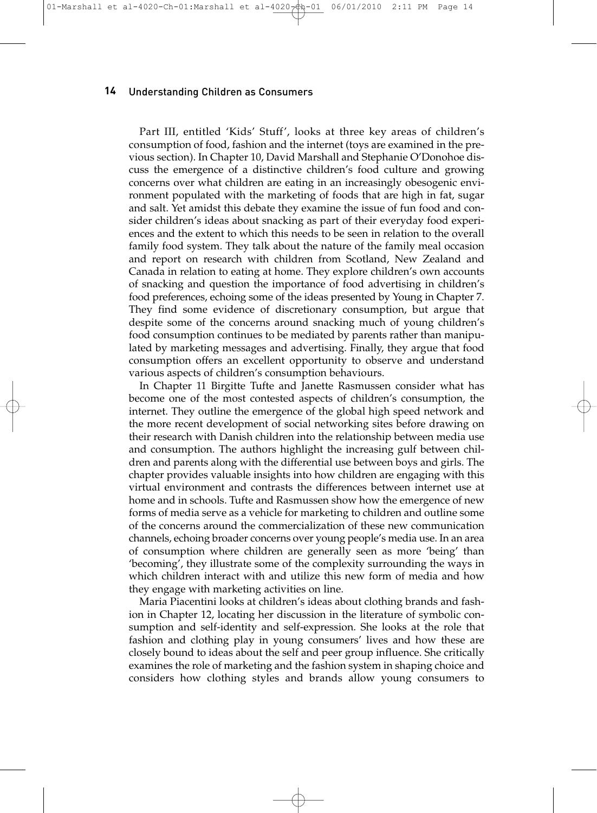Part III, entitled 'Kids' Stuff', looks at three key areas of children's consumption of food, fashion and the internet (toys are examined in the previous section). In Chapter 10, David Marshall and Stephanie O'Donohoe discuss the emergence of a distinctive children's food culture and growing concerns over what children are eating in an increasingly obesogenic environment populated with the marketing of foods that are high in fat, sugar and salt. Yet amidst this debate they examine the issue of fun food and consider children's ideas about snacking as part of their everyday food experiences and the extent to which this needs to be seen in relation to the overall family food system. They talk about the nature of the family meal occasion and report on research with children from Scotland, New Zealand and Canada in relation to eating at home. They explore children's own accounts of snacking and question the importance of food advertising in children's food preferences, echoing some of the ideas presented by Young in Chapter 7. They find some evidence of discretionary consumption, but argue that despite some of the concerns around snacking much of young children's food consumption continues to be mediated by parents rather than manipulated by marketing messages and advertising. Finally, they argue that food consumption offers an excellent opportunity to observe and understand various aspects of children's consumption behaviours.

In Chapter 11 Birgitte Tufte and Janette Rasmussen consider what has become one of the most contested aspects of children's consumption, the internet. They outline the emergence of the global high speed network and the more recent development of social networking sites before drawing on their research with Danish children into the relationship between media use and consumption. The authors highlight the increasing gulf between children and parents along with the differential use between boys and girls. The chapter provides valuable insights into how children are engaging with this virtual environment and contrasts the differences between internet use at home and in schools. Tufte and Rasmussen show how the emergence of new forms of media serve as a vehicle for marketing to children and outline some of the concerns around the commercialization of these new communication channels, echoing broader concerns over young people's media use. In an area of consumption where children are generally seen as more 'being' than 'becoming', they illustrate some of the complexity surrounding the ways in which children interact with and utilize this new form of media and how they engage with marketing activities on line.

Maria Piacentini looks at children's ideas about clothing brands and fashion in Chapter 12, locating her discussion in the literature of symbolic consumption and self-identity and self-expression. She looks at the role that fashion and clothing play in young consumers' lives and how these are closely bound to ideas about the self and peer group influence. She critically examines the role of marketing and the fashion system in shaping choice and considers how clothing styles and brands allow young consumers to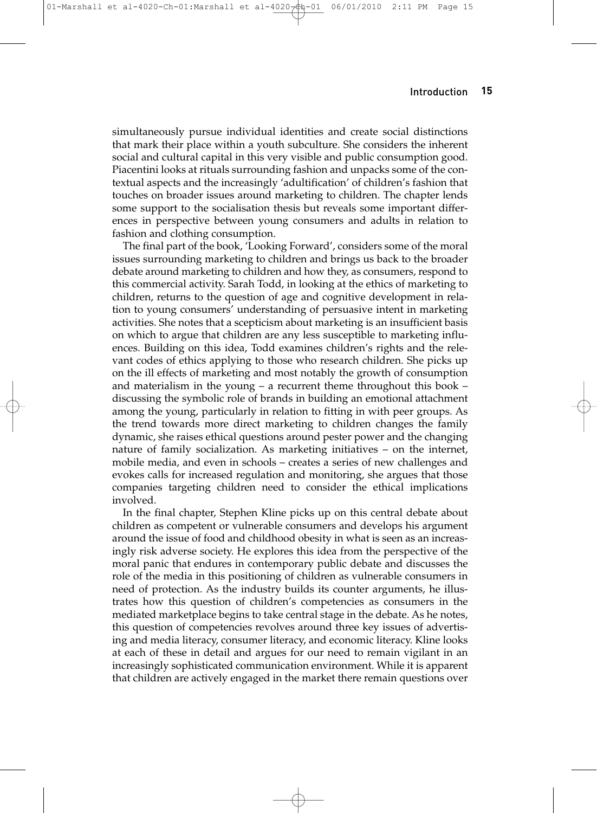simultaneously pursue individual identities and create social distinctions that mark their place within a youth subculture. She considers the inherent social and cultural capital in this very visible and public consumption good. Piacentini looks at rituals surrounding fashion and unpacks some of the contextual aspects and the increasingly 'adultification' of children's fashion that touches on broader issues around marketing to children. The chapter lends some support to the socialisation thesis but reveals some important differences in perspective between young consumers and adults in relation to fashion and clothing consumption.

The final part of the book, 'Looking Forward', considers some of the moral issues surrounding marketing to children and brings us back to the broader debate around marketing to children and how they, as consumers, respond to this commercial activity. Sarah Todd, in looking at the ethics of marketing to children, returns to the question of age and cognitive development in relation to young consumers' understanding of persuasive intent in marketing activities. She notes that a scepticism about marketing is an insufficient basis on which to argue that children are any less susceptible to marketing influences. Building on this idea, Todd examines children's rights and the relevant codes of ethics applying to those who research children. She picks up on the ill effects of marketing and most notably the growth of consumption and materialism in the young – a recurrent theme throughout this book – discussing the symbolic role of brands in building an emotional attachment among the young, particularly in relation to fitting in with peer groups. As the trend towards more direct marketing to children changes the family dynamic, she raises ethical questions around pester power and the changing nature of family socialization. As marketing initiatives – on the internet, mobile media, and even in schools – creates a series of new challenges and evokes calls for increased regulation and monitoring, she argues that those companies targeting children need to consider the ethical implications involved.

In the final chapter, Stephen Kline picks up on this central debate about children as competent or vulnerable consumers and develops his argument around the issue of food and childhood obesity in what is seen as an increasingly risk adverse society. He explores this idea from the perspective of the moral panic that endures in contemporary public debate and discusses the role of the media in this positioning of children as vulnerable consumers in need of protection. As the industry builds its counter arguments, he illustrates how this question of children's competencies as consumers in the mediated marketplace begins to take central stage in the debate. As he notes, this question of competencies revolves around three key issues of advertising and media literacy, consumer literacy, and economic literacy. Kline looks at each of these in detail and argues for our need to remain vigilant in an increasingly sophisticated communication environment. While it is apparent that children are actively engaged in the market there remain questions over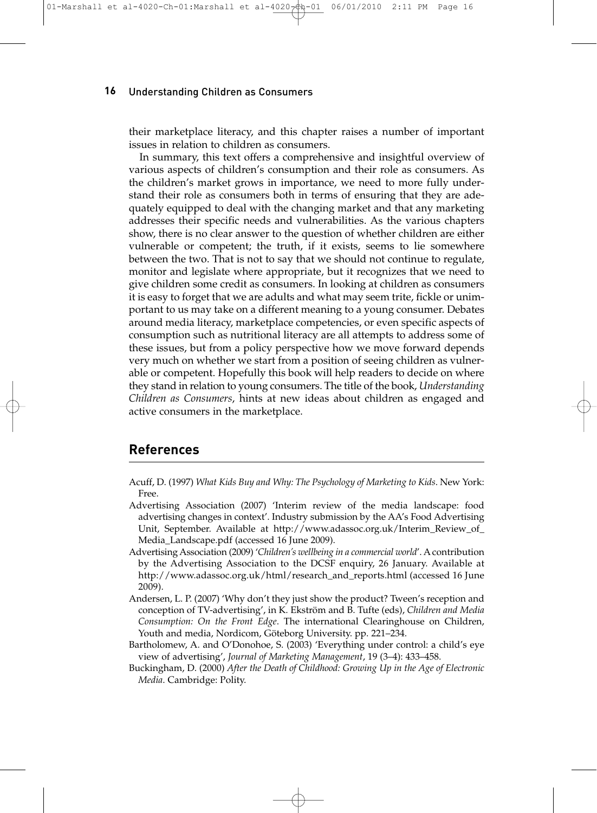their marketplace literacy, and this chapter raises a number of important issues in relation to children as consumers.

In summary, this text offers a comprehensive and insightful overview of various aspects of children's consumption and their role as consumers. As the children's market grows in importance, we need to more fully understand their role as consumers both in terms of ensuring that they are adequately equipped to deal with the changing market and that any marketing addresses their specific needs and vulnerabilities. As the various chapters show, there is no clear answer to the question of whether children are either vulnerable or competent; the truth, if it exists, seems to lie somewhere between the two. That is not to say that we should not continue to regulate, monitor and legislate where appropriate, but it recognizes that we need to give children some credit as consumers. In looking at children as consumers it is easy to forget that we are adults and what may seem trite, fickle or unimportant to us may take on a different meaning to a young consumer. Debates around media literacy, marketplace competencies, or even specific aspects of consumption such as nutritional literacy are all attempts to address some of these issues, but from a policy perspective how we move forward depends very much on whether we start from a position of seeing children as vulnerable or competent. Hopefully this book will help readers to decide on where they stand in relation to young consumers. The title of the book, *Understanding Children as Consumers*, hints at new ideas about children as engaged and active consumers in the marketplace.

## **References**

Acuff, D. (1997) *What Kids Buy and Why: The Psychology of Marketing to Kids*. New York: Free.

- Advertising Association (2007) 'Interim review of the media landscape: food advertising changes in context'. Industry submission by the AA's Food Advertising Unit, September. Available at http://www.adassoc.org.uk/Interim\_Review\_of\_ Media\_Landscape.pdf (accessed 16 June 2009).
- Advertising Association (2009) '*Children's wellbeing in a commercial world*'. Acontribution by the Advertising Association to the DCSF enquiry, 26 January. Available at http://www.adassoc.org.uk/html/research\_and\_reports.html (accessed 16 June 2009).
- Andersen, L. P. (2007) 'Why don't they just show the product? Tween's reception and conception of TV-advertising', in K. Ekström and B. Tufte (eds), *Children and Media Consumption: On the Front Edge*. The international Clearinghouse on Children, Youth and media, Nordicom, Göteborg University. pp. 221–234.
- Bartholomew, A. and O'Donohoe, S. (2003) 'Everything under control: a child's eye view of advertising', *Journal of Marketing Management*, 19 (3–4): 433–458.
- Buckingham, D. (2000) *After the Death of Childhood: Growing Up in the Age of Electronic Media*. Cambridge: Polity.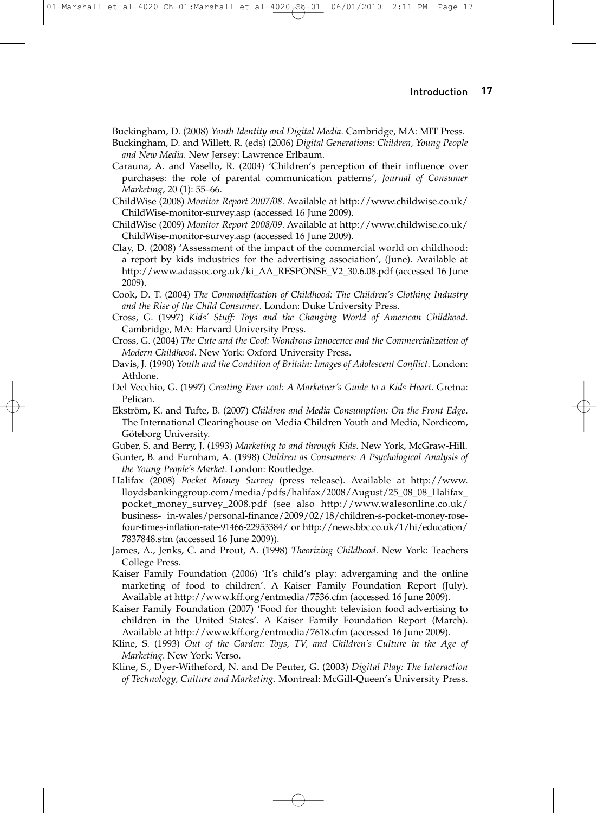Buckingham, D. (2008) *Youth Identity and Digital Media*. Cambridge, MA: MIT Press. Buckingham, D. and Willett, R. (eds) (2006) *Digital Generations: Children, Young People and New Media*. New Jersey: Lawrence Erlbaum.

- Carauna, A. and Vasello, R. (2004) 'Children's perception of their influence over purchases: the role of parental communication patterns', *Journal of Consumer Marketing*, 20 (1): 55–66.
- ChildWise (2008) *Monitor Report 2007/08*. Available at http://www.childwise.co.uk/ ChildWise-monitor-survey.asp (accessed 16 June 2009).
- ChildWise (2009) *Monitor Report 2008/09*. Available at http://www.childwise.co.uk/ ChildWise-monitor-survey.asp (accessed 16 June 2009).
- Clay, D. (2008) 'Assessment of the impact of the commercial world on childhood: a report by kids industries for the advertising association', (June). Available at http://www.adassoc.org.uk/ki\_AA\_RESPONSE\_V2\_30.6.08.pdf (accessed 16 June 2009).
- Cook, D. T. (2004) *The Commodification of Childhood: The Children's Clothing Industry and the Rise of the Child Consumer*. London: Duke University Press.
- Cross, G. (1997) *Kids' Stuff: Toys and the Changing World of American Childhood*. Cambridge, MA: Harvard University Press.
- Cross, G. (2004) *The Cute and the Cool: Wondrous Innocence and the Commercialization of Modern Childhood*. New York: Oxford University Press.
- Davis, J. (1990) *Youth and the Condition of Britain: Images of Adolescent Conflict*. London: Athlone.
- Del Vecchio, G. (1997) *Creating Ever cool: A Marketeer's Guide to a Kids Heart*. Gretna: Pelican.
- Ekström, K. and Tufte, B. (2007) *Children and Media Consumption: On the Front Edge*. The International Clearinghouse on Media Children Youth and Media, Nordicom, Göteborg University.

Guber, S. and Berry, J. (1993) *Marketing to and through Kids*. New York, McGraw-Hill.

- Gunter, B. and Furnham, A. (1998) *Children as Consumers: A Psychological Analysis of the Young People's Market*. London: Routledge.
- Halifax (2008) *Pocket Money Survey* (press release). Available at http://www. lloydsbankinggroup.com/media/pdfs/halifax/2008/August/25\_08\_08\_Halifax\_ pocket\_money\_survey\_2008.pdf (see also http://www.walesonline.co.uk/ business- in-wales/personal-finance/2009/02/18/children-s-pocket-money-rosefour-times-inflation-rate-91466-22953384/ or http://news.bbc.co.uk/1/hi/education/ 7837848.stm (accessed 16 June 2009)).
- James, A., Jenks, C. and Prout, A. (1998) *Theorizing Childhood*. New York: Teachers College Press.
- Kaiser Family Foundation (2006) 'It's child's play: advergaming and the online marketing of food to children'. A Kaiser Family Foundation Report (July). Available at http://www.kff.org/entmedia/7536.cfm (accessed 16 June 2009).
- Kaiser Family Foundation (2007) 'Food for thought: television food advertising to children in the United States'. A Kaiser Family Foundation Report (March). Available at http://www.kff.org/entmedia/7618.cfm (accessed 16 June 2009).
- Kline, S. (1993) *Out of the Garden: Toys, TV, and Children's Culture in the Age of Marketing*. New York: Verso.
- Kline, S., Dyer-Witheford, N. and De Peuter, G. (2003) *Digital Play: The Interaction of Technology, Culture and Marketing*. Montreal: McGill-Queen's University Press.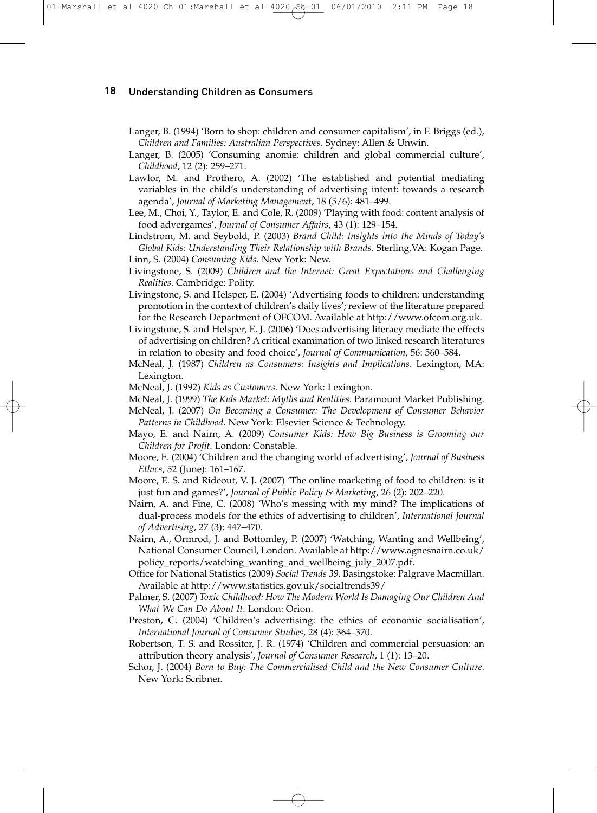01-Marshall et al-4020-Ch-01:Marshall et al-4020<sub>7</sub>\$h-01 06/01/2010 2:11 PM Page 18

#### **18** Understanding Children as Consumers

- Langer, B. (1994) 'Born to shop: children and consumer capitalism', in F. Briggs (ed.), *Children and Families: Australian Perspectives*. Sydney: Allen & Unwin.
- Langer, B. (2005) 'Consuming anomie: children and global commercial culture', *Childhood*, 12 (2): 259–271.
- Lawlor, M. and Prothero, A. (2002) 'The established and potential mediating variables in the child's understanding of advertising intent: towards a research agenda', *Journal of Marketing Management*, 18 (5/6): 481–499.
- Lee, M., Choi, Y., Taylor, E. and Cole, R. (2009) 'Playing with food: content analysis of food advergames', *Journal of Consumer Affairs*, 43 (1): 129–154.
- Lindstrom, M. and Seybold, P. (2003) *Brand Child: Insights into the Minds of Today's Global Kids: Understanding Their Relationship with Brands*. Sterling,VA: Kogan Page.
- Linn, S. (2004) *Consuming Kids*. New York: New.
- Livingstone, S. (2009) *Children and the Internet: Great Expectations and Challenging Realities*. Cambridge: Polity.
- Livingstone, S. and Helsper, E. (2004) 'Advertising foods to children: understanding promotion in the context of children's daily lives'; review of the literature prepared for the Research Department of OFCOM. Available at http://www.ofcom.org.uk.
- Livingstone, S. and Helsper, E. J. (2006) 'Does advertising literacy mediate the effects of advertising on children? A critical examination of two linked research literatures in relation to obesity and food choice', *Journal of Communication*, 56: 560–584.
- McNeal, J. (1987) *Children as Consumers: Insights and Implications*. Lexington, MA: Lexington.
- McNeal, J. (1992) *Kids as Customers*. New York: Lexington.
- McNeal, J. (1999) *The Kids Market: Myths and Realities*. Paramount Market Publishing.
- McNeal, J. (2007) *On Becoming a Consumer: The Development of Consumer Behavior Patterns in Childhood*. New York: Elsevier Science & Technology.
- Mayo, E. and Nairn, A. (2009) *Consumer Kids: How Big Business is Grooming our Children for Profit*. London: Constable.
- Moore, E. (2004) 'Children and the changing world of advertising', *Journal of Business Ethics*, 52 (June): 161–167.
- Moore, E. S. and Rideout, V. J. (2007) 'The online marketing of food to children: is it just fun and games?', *Journal of Public Policy & Marketing*, 26 (2): 202–220.
- Nairn, A. and Fine, C. (2008) 'Who's messing with my mind? The implications of dual-process models for the ethics of advertising to children', *International Journal of Advertising*, 27 (3): 447–470.
- Nairn, A., Ormrod, J. and Bottomley, P. (2007) 'Watching, Wanting and Wellbeing', National Consumer Council, London. Available at http://www.agnesnairn.co.uk/ policy\_reports/watching\_wanting\_and\_wellbeing\_july\_2007.pdf.
- Office for National Statistics (2009) *Social Trends 39*. Basingstoke: Palgrave Macmillan. Available at http://www.statistics.gov.uk/socialtrends39/
- Palmer, S. (2007) *Toxic Childhood: How The Modern World Is Damaging Our Children And What We Can Do About It*. London: Orion.
- Preston, C. (2004) 'Children's advertising: the ethics of economic socialisation', *International Journal of Consumer Studies*, 28 (4): 364–370.
- Robertson, T. S. and Rossiter, J. R. (1974) 'Children and commercial persuasion: an attribution theory analysis', *Journal of Consumer Research*, 1 (1): 13–20.
- Schor, J. (2004) *Born to Buy: The Commercialised Child and the New Consumer Culture*. New York: Scribner.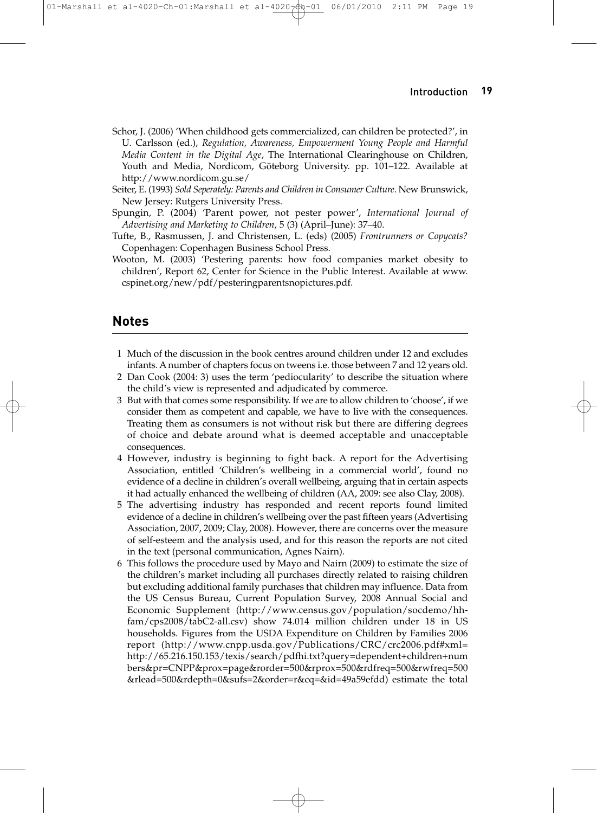- Schor, J. (2006) 'When childhood gets commercialized, can children be protected?', in U. Carlsson (ed.), *Regulation, Awareness, Empowerment Young People and Harmful Media Content in the Digital Age*, The International Clearinghouse on Children, Youth and Media, Nordicom, Göteborg University. pp. 101–122. Available at http://www.nordicom.gu.se/
- Seiter, E. (1993) *Sold Seperately: Parents and Children in Consumer Culture*. New Brunswick, New Jersey: Rutgers University Press.
- Spungin, P. (2004) 'Parent power, not pester power', *International Journal of Advertising and Marketing to Children*, 5 (3) (April–June): 37–40.
- Tufte, B., Rasmussen, J. and Christensen, L. (eds) (2005) *Frontrunners or Copycats?* Copenhagen: Copenhagen Business School Press.
- Wooton, M. (2003) 'Pestering parents: how food companies market obesity to children', Report 62, Center for Science in the Public Interest. Available at www. cspinet.org/new/pdf/pesteringparentsnopictures.pdf.

## **Notes**

- 1 Much of the discussion in the book centres around children under 12 and excludes infants. Anumber of chapters focus on tweens i.e. those between 7 and 12 years old.
- 2 Dan Cook (2004: 3) uses the term 'pediocularity' to describe the situation where the child's view is represented and adjudicated by commerce.
- 3 But with that comes some responsibility. If we are to allow children to 'choose', if we consider them as competent and capable, we have to live with the consequences. Treating them as consumers is not without risk but there are differing degrees of choice and debate around what is deemed acceptable and unacceptable consequences.
- 4 However, industry is beginning to fight back. A report for the Advertising Association, entitled 'Children's wellbeing in a commercial world', found no evidence of a decline in children's overall wellbeing, arguing that in certain aspects it had actually enhanced the wellbeing of children (AA, 2009: see also Clay, 2008).
- 5 The advertising industry has responded and recent reports found limited evidence of a decline in children's wellbeing over the past fifteen years (Advertising Association, 2007, 2009; Clay, 2008). However, there are concerns over the measure of self-esteem and the analysis used, and for this reason the reports are not cited in the text (personal communication, Agnes Nairn).
- 6 This follows the procedure used by Mayo and Nairn (2009) to estimate the size of the children's market including all purchases directly related to raising children but excluding additional family purchases that children may influence. Data from the US Census Bureau, Current Population Survey, 2008 Annual Social and Economic Supplement (http://www.census.gov/population/socdemo/hhfam/cps2008/tabC2-all.csv) show 74.014 million children under 18 in US households. Figures from the USDA Expenditure on Children by Families 2006 report (http://www.cnpp.usda.gov/Publications/CRC/crc2006.pdf#xml= http://65.216.150.153/texis/search/pdfhi.txt?query=dependent+children+num bers&pr=CNPP&prox=page&rorder=500&rprox=500&rdfreq=500&rwfreq=500 &rlead=500&rdepth=0&sufs=2&order=r&cq=&id=49a59efdd) estimate the total